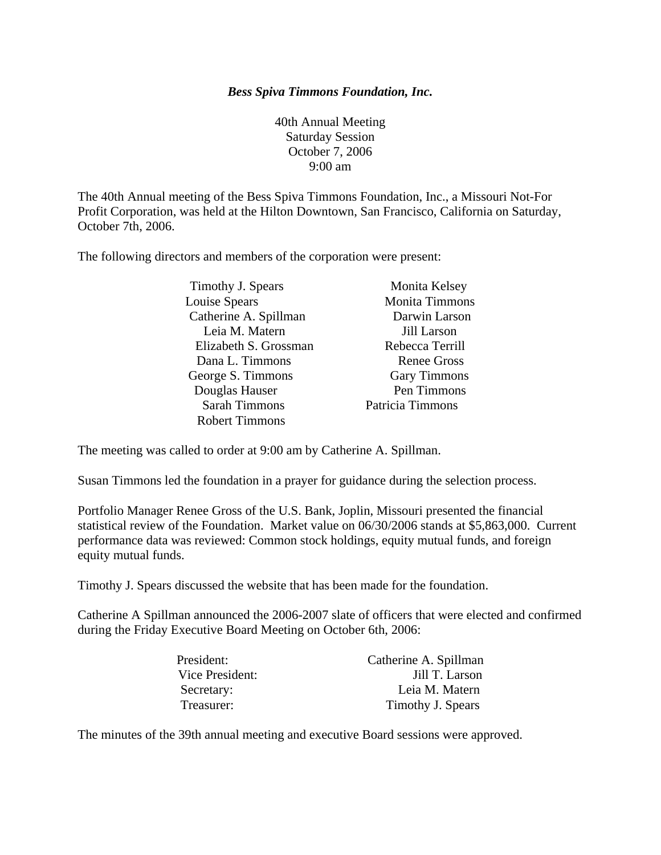## *Bess Spiva Timmons Foundation, Inc.*

40th Annual Meeting Saturday Session October 7, 2006 9:00 am

The 40th Annual meeting of the Bess Spiva Timmons Foundation, Inc., a Missouri Not-For Profit Corporation, was held at the Hilton Downtown, San Francisco, California on Saturday, October 7th, 2006.

The following directors and members of the corporation were present:

| Timothy J. Spears     | Monita Kelsey         |
|-----------------------|-----------------------|
| Louise Spears         | <b>Monita Timmons</b> |
| Catherine A. Spillman | Darwin Larson         |
| Leia M. Matern        | Jill Larson           |
| Elizabeth S. Grossman | Rebecca Terrill       |
| Dana L. Timmons       | <b>Renee Gross</b>    |
| George S. Timmons     | <b>Gary Timmons</b>   |
| Douglas Hauser        | Pen Timmons           |
| <b>Sarah Timmons</b>  | Patricia Timmons      |
| <b>Robert Timmons</b> |                       |

The meeting was called to order at 9:00 am by Catherine A. Spillman.

Susan Timmons led the foundation in a prayer for guidance during the selection process.

Portfolio Manager Renee Gross of the U.S. Bank, Joplin, Missouri presented the financial statistical review of the Foundation. Market value on 06/30/2006 stands at \$5,863,000. Current performance data was reviewed: Common stock holdings, equity mutual funds, and foreign equity mutual funds.

Timothy J. Spears discussed the website that has been made for the foundation.

Catherine A Spillman announced the 2006-2007 slate of officers that were elected and confirmed during the Friday Executive Board Meeting on October 6th, 2006:

| President:      | Catherine A. Spillman |
|-----------------|-----------------------|
| Vice President: | Jill T. Larson        |
| Secretary:      | Leia M. Matern        |
| Treasurer:      | Timothy J. Spears     |

The minutes of the 39th annual meeting and executive Board sessions were approved.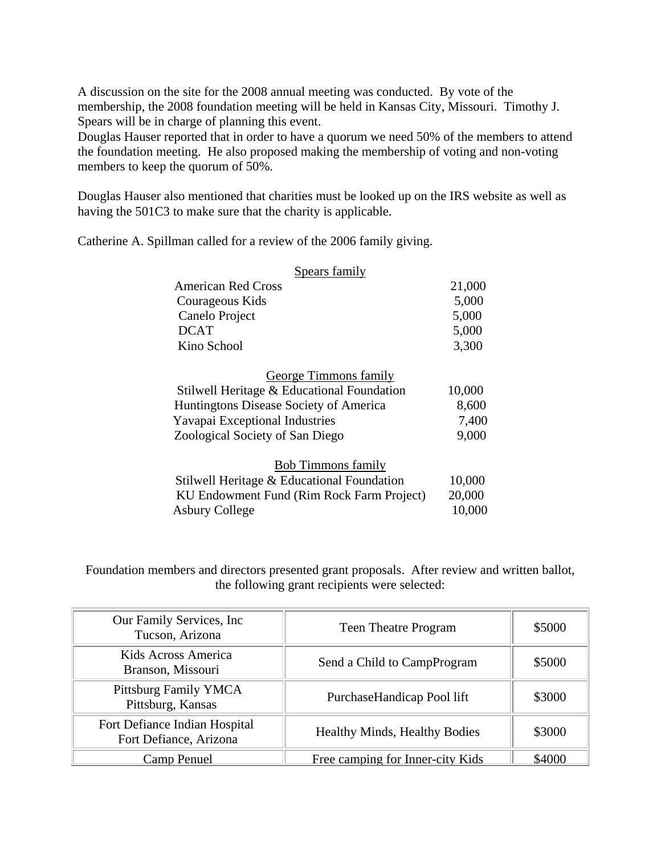A discussion on the site for the 2008 annual meeting was conducted. By vote of the membership, the 2008 foundation meeting will be held in Kansas City, Missouri. Timothy J. Spears will be in charge of planning this event.

Douglas Hauser reported that in order to have a quorum we need 50% of the members to attend the foundation meeting. He also proposed making the membership of voting and non-voting members to keep the quorum of 50%.

Douglas Hauser also mentioned that charities must be looked up on the IRS website as well as having the 501C3 to make sure that the charity is applicable.

Catherine A. Spillman called for a review of the 2006 family giving.

| Spears family                              |        |  |
|--------------------------------------------|--------|--|
| <b>American Red Cross</b>                  | 21,000 |  |
| Courageous Kids                            | 5,000  |  |
| Canelo Project                             | 5,000  |  |
| <b>DCAT</b>                                | 5,000  |  |
| Kino School                                | 3,300  |  |
| <b>George Timmons family</b>               |        |  |
| Stilwell Heritage & Educational Foundation | 10,000 |  |
| Huntingtons Disease Society of America     | 8,600  |  |
| Yavapai Exceptional Industries             | 7,400  |  |
| Zoological Society of San Diego            | 9,000  |  |
| <b>Bob Timmons family</b>                  |        |  |
| Stilwell Heritage & Educational Foundation | 10,000 |  |
| KU Endowment Fund (Rim Rock Farm Project)  | 20,000 |  |
| <b>Asbury College</b>                      | 10,000 |  |

Foundation members and directors presented grant proposals. After review and written ballot, the following grant recipients were selected:

| Our Family Services, Inc.<br>Tucson, Arizona            | <b>Teen Theatre Program</b>      | \$5000 |
|---------------------------------------------------------|----------------------------------|--------|
| Kids Across America<br>Branson, Missouri                | Send a Child to CampProgram      | \$5000 |
| Pittsburg Family YMCA<br>Pittsburg, Kansas              | PurchaseHandicap Pool lift       | \$3000 |
| Fort Defiance Indian Hospital<br>Fort Defiance, Arizona | Healthy Minds, Healthy Bodies    | \$3000 |
| Camp Penuel                                             | Free camping for Inner-city Kids | \$4000 |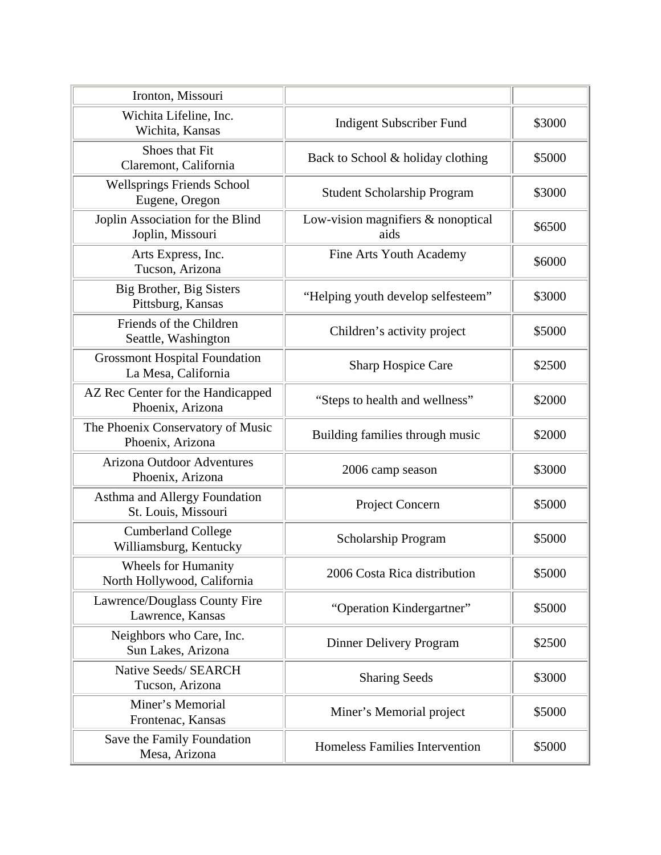| Ironton, Missouri                                           |                                            |        |
|-------------------------------------------------------------|--------------------------------------------|--------|
| Wichita Lifeline, Inc.                                      | <b>Indigent Subscriber Fund</b>            | \$3000 |
| Wichita, Kansas<br><b>Shoes that Fit</b>                    |                                            | \$5000 |
| Claremont, California                                       | Back to School & holiday clothing          |        |
| <b>Wellsprings Friends School</b><br>Eugene, Oregon         | <b>Student Scholarship Program</b>         | \$3000 |
| Joplin Association for the Blind<br>Joplin, Missouri        | Low-vision magnifiers & nonoptical<br>aids | \$6500 |
| Arts Express, Inc.<br>Tucson, Arizona                       | Fine Arts Youth Academy                    | \$6000 |
| Big Brother, Big Sisters<br>Pittsburg, Kansas               | "Helping youth develop selfesteem"         | \$3000 |
| Friends of the Children<br>Seattle, Washington              | Children's activity project                | \$5000 |
| <b>Grossmont Hospital Foundation</b><br>La Mesa, California | Sharp Hospice Care                         | \$2500 |
| AZ Rec Center for the Handicapped<br>Phoenix, Arizona       | "Steps to health and wellness"             | \$2000 |
| The Phoenix Conservatory of Music<br>Phoenix, Arizona       | Building families through music            | \$2000 |
| <b>Arizona Outdoor Adventures</b><br>Phoenix, Arizona       | 2006 camp season                           | \$3000 |
| Asthma and Allergy Foundation<br>St. Louis, Missouri        | Project Concern                            | \$5000 |
| <b>Cumberland College</b><br>Williamsburg, Kentucky         | Scholarship Program                        | \$5000 |
| <b>Wheels for Humanity</b><br>North Hollywood, California   | 2006 Costa Rica distribution               | \$5000 |
| Lawrence/Douglass County Fire<br>Lawrence, Kansas           | "Operation Kindergartner"                  | \$5000 |
| Neighbors who Care, Inc.<br>Sun Lakes, Arizona              | Dinner Delivery Program                    | \$2500 |
| Native Seeds/ SEARCH<br>Tucson, Arizona                     | <b>Sharing Seeds</b>                       | \$3000 |
| Miner's Memorial<br>Frontenac, Kansas                       | Miner's Memorial project                   | \$5000 |
| Save the Family Foundation<br>Mesa, Arizona                 | Homeless Families Intervention             | \$5000 |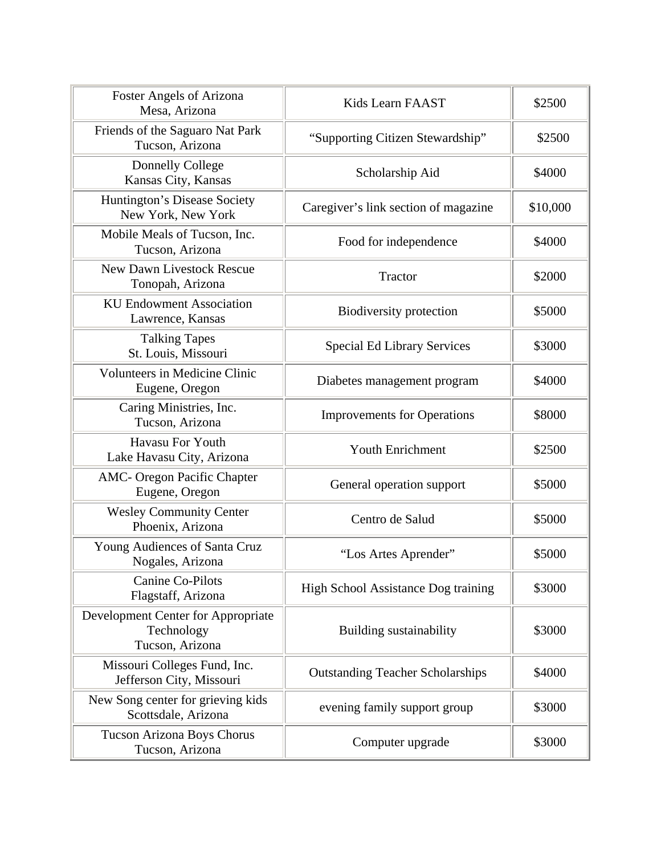| <b>Foster Angels of Arizona</b><br>Mesa, Arizona                    | Kids Learn FAAST                        | \$2500   |
|---------------------------------------------------------------------|-----------------------------------------|----------|
| Friends of the Saguaro Nat Park<br>Tucson, Arizona                  | "Supporting Citizen Stewardship"        | \$2500   |
| <b>Donnelly College</b><br>Kansas City, Kansas                      | Scholarship Aid                         | \$4000   |
| Huntington's Disease Society<br>New York, New York                  | Caregiver's link section of magazine    | \$10,000 |
| Mobile Meals of Tucson, Inc.<br>Tucson, Arizona                     | Food for independence                   | \$4000   |
| <b>New Dawn Livestock Rescue</b><br>Tonopah, Arizona                | Tractor                                 | \$2000   |
| <b>KU Endowment Association</b><br>Lawrence, Kansas                 | Biodiversity protection                 | \$5000   |
| <b>Talking Tapes</b><br>St. Louis, Missouri                         | <b>Special Ed Library Services</b>      | \$3000   |
| <b>Volunteers in Medicine Clinic</b><br>Eugene, Oregon              | Diabetes management program             | \$4000   |
| Caring Ministries, Inc.<br>Tucson, Arizona                          | <b>Improvements for Operations</b>      | \$8000   |
| <b>Havasu For Youth</b><br>Lake Havasu City, Arizona                | <b>Youth Enrichment</b>                 | \$2500   |
| <b>AMC- Oregon Pacific Chapter</b><br>Eugene, Oregon                | General operation support               | \$5000   |
| <b>Wesley Community Center</b><br>Phoenix, Arizona                  | Centro de Salud                         | \$5000   |
| Young Audiences of Santa Cruz<br>Nogales, Arizona                   | "Los Artes Aprender"                    | \$5000   |
| <b>Canine Co-Pilots</b><br>Flagstaff, Arizona                       | High School Assistance Dog training     | \$3000   |
| Development Center for Appropriate<br>Technology<br>Tucson, Arizona | <b>Building sustainability</b>          | \$3000   |
| Missouri Colleges Fund, Inc.<br>Jefferson City, Missouri            | <b>Outstanding Teacher Scholarships</b> | \$4000   |
| New Song center for grieving kids<br>Scottsdale, Arizona            | evening family support group            | \$3000   |
| Tucson Arizona Boys Chorus<br>Tucson, Arizona                       | Computer upgrade                        | \$3000   |